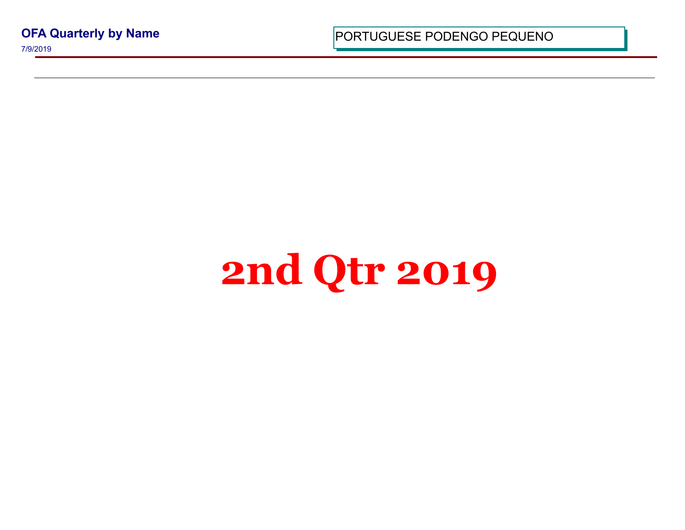**OFA Quarterly by Name**

7/9/2019

PORTUGUESE PODENGO PEQUI

## **2nd Qtr 2019**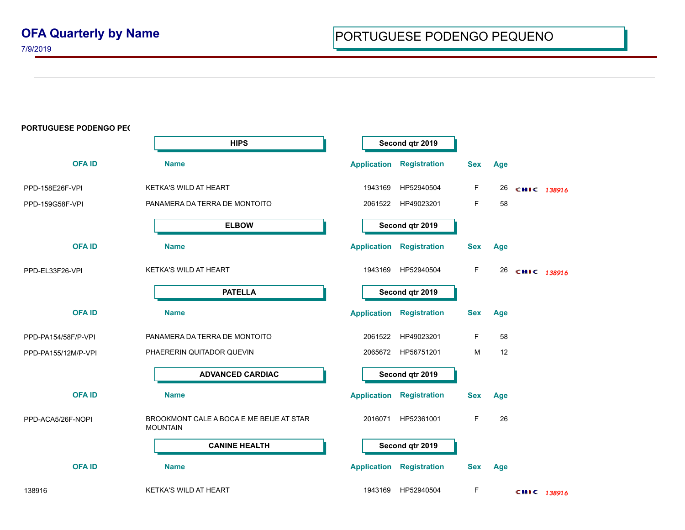7/9/2019